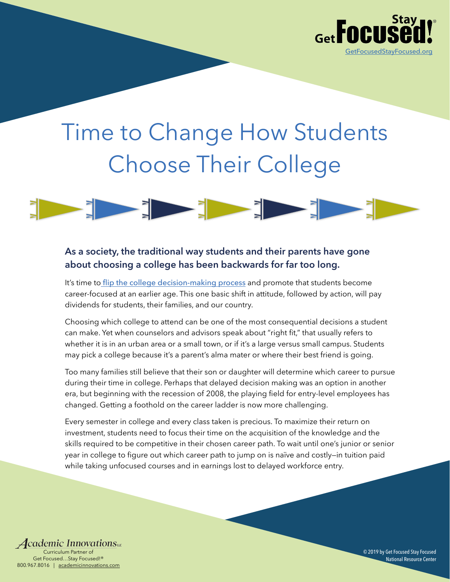

# Time to Change How Students Choose Their College



## **As a society, the traditional way students and their parents have gone about choosing a college has been backwards for far too long.**

It's time to [flip the college decision-making process](https://vimeo.com/174407736) and promote that students become career-focused at an earlier age. This one basic shift in attitude, followed by action, will pay dividends for students, their families, and our country.

Choosing which college to attend can be one of the most consequential decisions a student can make. Yet when counselors and advisors speak about "right fit," that usually refers to whether it is in an urban area or a small town, or if it's a large versus small campus. Students may pick a college because it's a parent's alma mater or where their best friend is going.

Too many families still believe that their son or daughter will determine which career to pursue during their time in college. Perhaps that delayed decision making was an option in another era, but beginning with the recession of 2008, the playing field for entry-level employees has changed. Getting a foothold on the career ladder is now more challenging.

Every semester in college and every class taken is precious. To maximize their return on investment, students need to focus their time on the acquisition of the knowledge and the skills required to be competitive in their chosen career path. To wait until one's junior or senior year in college to figure out which career path to jump on is naïve and costly—in tuition paid while taking unfocused courses and in earnings lost to delayed workforce entry.

**4 cademic Innovations**… Curriculum Partner of Get Focused…Stay Focused!® 800.967.8016 | [academicinnovations.com](http://www.academicinnovations.com)

© 2019 by Get Focused Stay Focused National Resource Center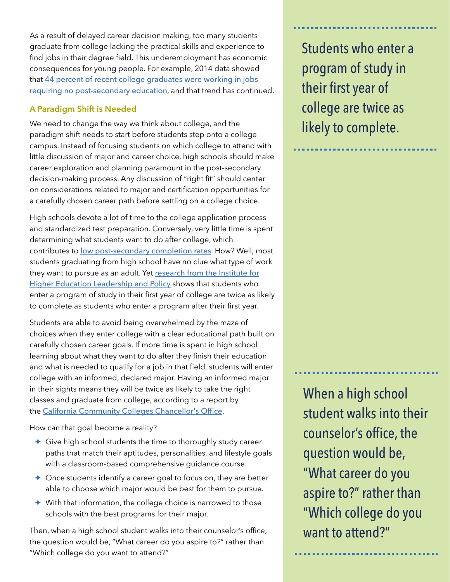As a result of delayed career decision making, too many students graduate from college lacking the practical skills and experience to find jobs in their degree field. This underemployment has economic consequences for young people. For example, 2014 data showed that 44 percent of recent college graduates were working in jobs requiring no post-secondary education, and that trend has continued.

## **A Paradigm Shift is Needed**

We need to change the way we think about college, and the paradigm shift needs to start before students step onto a college campus. Instead of focusing students on which college to attend with little discussion of major and career choice, high schools should make career exploration and planning paramount in the post-secondary decision-making process. Any discussion of "right fit" should center on considerations related to major and certification opportunities for a carefully chosen career path before settling on a college choice.

High schools devote a lot of time to the college application process and standardized test preparation. Conversely, very little time is spent determining what students want to do after college, which contributes to [low post-secondary completion rates](https://www.npr.org/2019/03/13/681621047/college-completion-rates-are-up-but-the-numbers-will-still-surprise-you). How? Well, most students graduating from high school have no clue what type of work they want to pursue as an adult. Yet research from the Institute for [Higher Education Leadership and Policy](https://www.csuchico.edu/gradinitiative/_assets/documents/ihelp-student-progress-toward-degree-completion.pdf) shows that students who enter a program of study in their first year of college are twice as likely to complete as students who enter a program after their first year.

Students are able to avoid being overwhelmed by the maze of choices when they enter college with a clear educational path built on carefully chosen career goals. If more time is spent in high school learning about what they want to do after they finish their education and what is needed to qualify for a job in that field, students will enter college with an informed, declared major. Having an informed major in their sights means they will be twice as likely to take the right classes and graduate from college, according to a report by the [California Community Colleges Chancellor's Office](http://www.californiacommunitycolleges.cccco.edu/portals/0/executive/studentsuccesstaskforce/sstf_final_report_1-17-12_print.pdf).

How can that goal become a reality?

- ✦ Give high school students the time to thoroughly study career paths that match their aptitudes, personalities, and lifestyle goals with a classroom-based comprehensive guidance course.
- ✦ Once students identify a career goal to focus on, they are better able to choose which major would be best for them to pursue.
- $\triangle$  With that information, the college choice is narrowed to those schools with the best programs for their major.

Then, when a high school student walks into their counselor's office, the question would be, "What career do you aspire to?" rather than "Which college do you want to attend?"

Students who enter a program of study in their first year of college are twice as likely to complete.

When a high school student walks into their counselor's office, the question would be, "What career do you aspire to?" rather than "Which college do you want to attend?"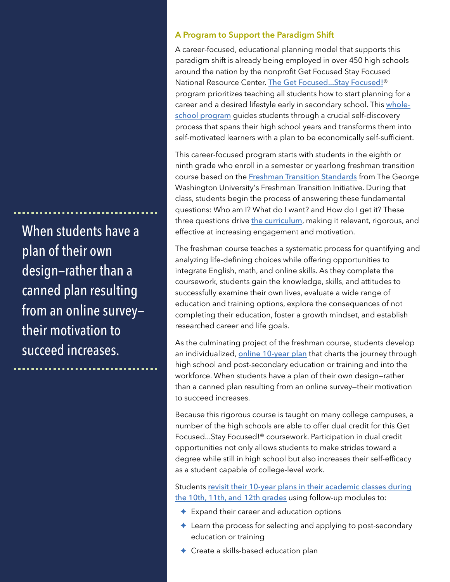When students have a plan of their own design—rather than a canned plan resulting from an online survey their motivation to succeed increases.

#### **A Program to Support the Paradigm Shift**

A career-focused, educational planning model that supports this paradigm shift is already being employed in over 450 high schools around the nation by the nonprofit Get Focused Stay Focused National Resource Center. [The Get Focused...Stay Focused!](http://www.academicinnovations.com/gfsf-programs.html)® program prioritizes teaching all students how to start planning for a career and a desired lifestyle early in secondary school. This [whole](http://www.academicinnovations.com/fti/fti.mp4)[school program](http://www.academicinnovations.com/fti/fti.mp4) guides students through a crucial self-discovery process that spans their high school years and transforms them into self-motivated learners with a plan to be economically self-sufficient.

This career-focused program starts with students in the eighth or ninth grade who enroll in a semester or yearlong freshman transition course based on the [Freshman Transition Standards](http://www.freshmantransition.org/) from The George Washington University's Freshman Transition Initiative. During that class, students begin the process of answering these fundamental questions: Who am I? What do I want? and How do I get it? These three questions drive [the curriculum](http://www.academicinnovations.com/cc2.html), making it relevant, rigorous, and effective at increasing engagement and motivation.

The freshman course teaches a systematic process for quantifying and analyzing life-defining choices while offering opportunities to integrate English, math, and online skills. As they complete the coursework, students gain the knowledge, skills, and attitudes to successfully examine their own lives, evaluate a wide range of education and training options, explore the consequences of not completing their education, foster a growth mindset, and establish researched career and life goals.

As the culminating project of the freshman course, students develop an individualized, [online 10-year plan](http://www.my10yearplan.com/) that charts the journey through high school and post-secondary education or training and into the workforce. When students have a plan of their own design—rather than a canned plan resulting from an online survey—their motivation to succeed increases.

Because this rigorous course is taught on many college campuses, a number of the high schools are able to offer dual credit for this Get Focused...Stay Focused!® coursework. Participation in dual credit opportunities not only allows students to make strides toward a degree while still in high school but also increases their self-efficacy as a student capable of college-level work.

Students [revisit their 10-year plans in their academic classes during](http://getfocusedstayfocused.org/10th_overview.php)  [the 10th, 11th, and 12th grades](http://getfocusedstayfocused.org/10th_overview.php) using follow-up modules to:

- ✦ Expand their career and education options
- ✦ Learn the process for selecting and applying to post-secondary education or training
- ✦ Create a skills-based education plan